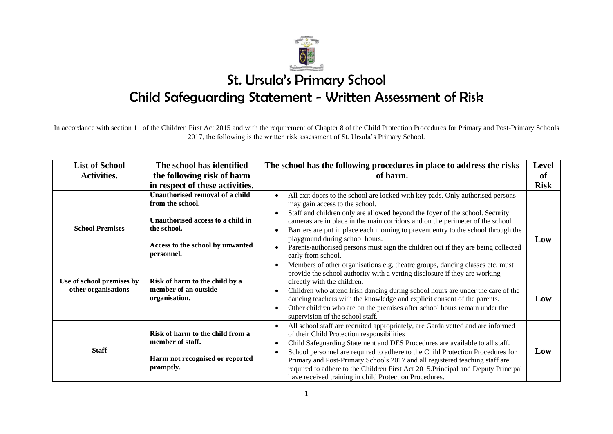

In accordance with section 11 of the Children First Act 2015 and with the requirement of Chapter 8 of the Child Protection Procedures for Primary and Post-Primary Schools 2017, the following is the written risk assessment of St. Ursula's Primary School.

| <b>List of School</b>                            | The school has identified                                                                                                                                 | The school has the following procedures in place to address the risks                                                                                                                                                                                                                                                                                                                                                                                                                                                        | <b>Level</b> |
|--------------------------------------------------|-----------------------------------------------------------------------------------------------------------------------------------------------------------|------------------------------------------------------------------------------------------------------------------------------------------------------------------------------------------------------------------------------------------------------------------------------------------------------------------------------------------------------------------------------------------------------------------------------------------------------------------------------------------------------------------------------|--------------|
| <b>Activities.</b>                               | the following risk of harm                                                                                                                                | of harm.                                                                                                                                                                                                                                                                                                                                                                                                                                                                                                                     | of           |
|                                                  | in respect of these activities.                                                                                                                           |                                                                                                                                                                                                                                                                                                                                                                                                                                                                                                                              | <b>Risk</b>  |
| <b>School Premises</b>                           | Unauthorised removal of a child<br>from the school.<br>Unauthorised access to a child in<br>the school.<br>Access to the school by unwanted<br>personnel. | All exit doors to the school are locked with key pads. Only authorised persons<br>may gain access to the school.<br>Staff and children only are allowed beyond the foyer of the school. Security<br>cameras are in place in the main corridors and on the perimeter of the school.<br>Barriers are put in place each morning to prevent entry to the school through the<br>playground during school hours.<br>Parents/authorised persons must sign the children out if they are being collected<br>early from school.        | Low          |
| Use of school premises by<br>other organisations | Risk of harm to the child by a<br>member of an outside<br>organisation.                                                                                   | Members of other organisations e.g. theatre groups, dancing classes etc. must<br>provide the school authority with a vetting disclosure if they are working<br>directly with the children.<br>Children who attend Irish dancing during school hours are under the care of the<br>dancing teachers with the knowledge and explicit consent of the parents.<br>Other children who are on the premises after school hours remain under the<br>supervision of the school staff.                                                  | Low          |
| <b>Staff</b>                                     | Risk of harm to the child from a<br>member of staff.<br>Harm not recognised or reported<br>promptly.                                                      | All school staff are recruited appropriately, are Garda vetted and are informed<br>of their Child Protection responsibilities<br>Child Safeguarding Statement and DES Procedures are available to all staff.<br>School personnel are required to adhere to the Child Protection Procedures for<br>Primary and Post-Primary Schools 2017 and all registered teaching staff are<br>required to adhere to the Children First Act 2015. Principal and Deputy Principal<br>have received training in child Protection Procedures. | Low          |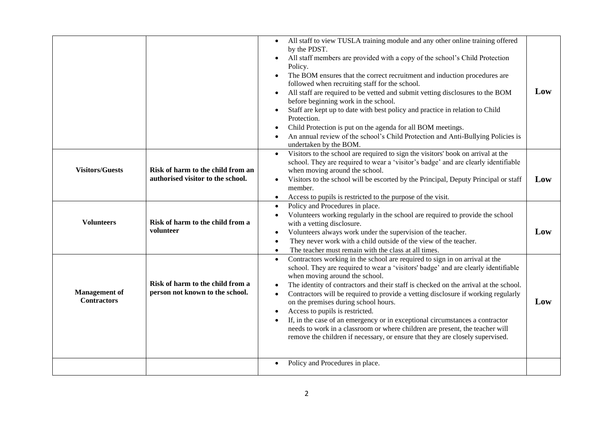|                                            |                                                                        | All staff to view TUSLA training module and any other online training offered<br>$\bullet$<br>by the PDST.<br>All staff members are provided with a copy of the school's Child Protection<br>$\bullet$<br>Policy.<br>The BOM ensures that the correct recruitment and induction procedures are<br>$\bullet$<br>followed when recruiting staff for the school.<br>All staff are required to be vetted and submit vetting disclosures to the BOM<br>$\bullet$<br>before beginning work in the school.<br>Staff are kept up to date with best policy and practice in relation to Child<br>$\bullet$<br>Protection.<br>Child Protection is put on the agenda for all BOM meetings.<br>An annual review of the school's Child Protection and Anti-Bullying Policies is<br>$\bullet$<br>undertaken by the BOM. | Low |
|--------------------------------------------|------------------------------------------------------------------------|----------------------------------------------------------------------------------------------------------------------------------------------------------------------------------------------------------------------------------------------------------------------------------------------------------------------------------------------------------------------------------------------------------------------------------------------------------------------------------------------------------------------------------------------------------------------------------------------------------------------------------------------------------------------------------------------------------------------------------------------------------------------------------------------------------|-----|
| <b>Visitors/Guests</b>                     | Risk of harm to the child from an<br>authorised visitor to the school. | Visitors to the school are required to sign the visitors' book on arrival at the<br>$\bullet$<br>school. They are required to wear a 'visitor's badge' and are clearly identifiable<br>when moving around the school.<br>Visitors to the school will be escorted by the Principal, Deputy Principal or staff<br>$\bullet$<br>member.<br>Access to pupils is restricted to the purpose of the visit.<br>$\bullet$                                                                                                                                                                                                                                                                                                                                                                                         | Low |
| <b>Volunteers</b>                          | Risk of harm to the child from a<br>volunteer                          | Policy and Procedures in place.<br>$\bullet$<br>Volunteers working regularly in the school are required to provide the school<br>$\bullet$<br>with a vetting disclosure.<br>Volunteers always work under the supervision of the teacher.<br>$\bullet$<br>They never work with a child outside of the view of the teacher.<br>$\bullet$<br>The teacher must remain with the class at all times.<br>$\bullet$                                                                                                                                                                                                                                                                                                                                                                                              | Low |
| <b>Management</b> of<br><b>Contractors</b> | Risk of harm to the child from a<br>person not known to the school.    | Contractors working in the school are required to sign in on arrival at the<br>$\bullet$<br>school. They are required to wear a 'visitors' badge' and are clearly identifiable<br>when moving around the school.<br>The identity of contractors and their staff is checked on the arrival at the school.<br>$\bullet$<br>Contractors will be required to provide a vetting disclosure if working regularly<br>$\bullet$<br>on the premises during school hours.<br>Access to pupils is restricted.<br>$\bullet$<br>If, in the case of an emergency or in exceptional circumstances a contractor<br>$\bullet$<br>needs to work in a classroom or where children are present, the teacher will<br>remove the children if necessary, or ensure that they are closely supervised.                            | Low |
|                                            |                                                                        | Policy and Procedures in place.<br>$\bullet$                                                                                                                                                                                                                                                                                                                                                                                                                                                                                                                                                                                                                                                                                                                                                             |     |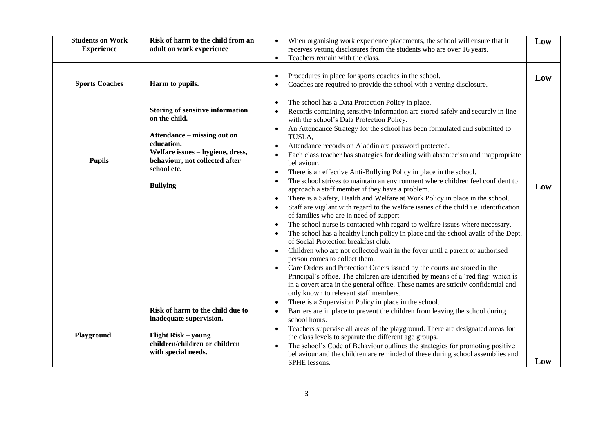| <b>Students on Work</b><br><b>Experience</b> | Risk of harm to the child from an<br>adult on work experience                                                                                                                                                 | When organising work experience placements, the school will ensure that it<br>$\bullet$<br>receives vetting disclosures from the students who are over 16 years.<br>Teachers remain with the class.<br>$\bullet$                                                                                                                                                                                                                                                                                                                                                                                                                                                                                                                                                                                                                                                                                                                                                                                                                                                                                                                                                                                                                                                                                                                                                                                                                                                                                                                                                                                          | Low |
|----------------------------------------------|---------------------------------------------------------------------------------------------------------------------------------------------------------------------------------------------------------------|-----------------------------------------------------------------------------------------------------------------------------------------------------------------------------------------------------------------------------------------------------------------------------------------------------------------------------------------------------------------------------------------------------------------------------------------------------------------------------------------------------------------------------------------------------------------------------------------------------------------------------------------------------------------------------------------------------------------------------------------------------------------------------------------------------------------------------------------------------------------------------------------------------------------------------------------------------------------------------------------------------------------------------------------------------------------------------------------------------------------------------------------------------------------------------------------------------------------------------------------------------------------------------------------------------------------------------------------------------------------------------------------------------------------------------------------------------------------------------------------------------------------------------------------------------------------------------------------------------------|-----|
| <b>Sports Coaches</b>                        | Harm to pupils.                                                                                                                                                                                               | Procedures in place for sports coaches in the school.<br>٠<br>Coaches are required to provide the school with a vetting disclosure.<br>$\bullet$                                                                                                                                                                                                                                                                                                                                                                                                                                                                                                                                                                                                                                                                                                                                                                                                                                                                                                                                                                                                                                                                                                                                                                                                                                                                                                                                                                                                                                                          | Low |
| <b>Pupils</b>                                | <b>Storing of sensitive information</b><br>on the child.<br>Attendance – missing out on<br>education.<br>Welfare issues - hygiene, dress,<br>behaviour, not collected after<br>school etc.<br><b>Bullying</b> | The school has a Data Protection Policy in place.<br>$\bullet$<br>Records containing sensitive information are stored safely and securely in line<br>$\bullet$<br>with the school's Data Protection Policy.<br>An Attendance Strategy for the school has been formulated and submitted to<br>TUSLA,<br>Attendance records on Aladdin are password protected.<br>Each class teacher has strategies for dealing with absenteeism and inappropriate<br>behaviour.<br>There is an effective Anti-Bullying Policy in place in the school.<br>$\bullet$<br>The school strives to maintain an environment where children feel confident to<br>approach a staff member if they have a problem.<br>There is a Safety, Health and Welfare at Work Policy in place in the school.<br>$\bullet$<br>Staff are vigilant with regard to the welfare issues of the child i.e. identification<br>$\bullet$<br>of families who are in need of support.<br>The school nurse is contacted with regard to welfare issues where necessary.<br>$\bullet$<br>The school has a healthy lunch policy in place and the school avails of the Dept.<br>of Social Protection breakfast club.<br>Children who are not collected wait in the foyer until a parent or authorised<br>$\bullet$<br>person comes to collect them.<br>Care Orders and Protection Orders issued by the courts are stored in the<br>$\bullet$<br>Principal's office. The children are identified by means of a 'red flag' which is<br>in a covert area in the general office. These names are strictly confidential and<br>only known to relevant staff members. | Low |
| Playground                                   | Risk of harm to the child due to<br>inadequate supervision.<br><b>Flight Risk – young</b><br>children/children or children                                                                                    | There is a Supervision Policy in place in the school.<br>$\bullet$<br>Barriers are in place to prevent the children from leaving the school during<br>$\bullet$<br>school hours.<br>Teachers supervise all areas of the playground. There are designated areas for<br>$\bullet$<br>the class levels to separate the different age groups.<br>The school's Code of Behaviour outlines the strategies for promoting positive                                                                                                                                                                                                                                                                                                                                                                                                                                                                                                                                                                                                                                                                                                                                                                                                                                                                                                                                                                                                                                                                                                                                                                                |     |
|                                              | with special needs.                                                                                                                                                                                           | behaviour and the children are reminded of these during school assemblies and<br>SPHE lessons.                                                                                                                                                                                                                                                                                                                                                                                                                                                                                                                                                                                                                                                                                                                                                                                                                                                                                                                                                                                                                                                                                                                                                                                                                                                                                                                                                                                                                                                                                                            | Low |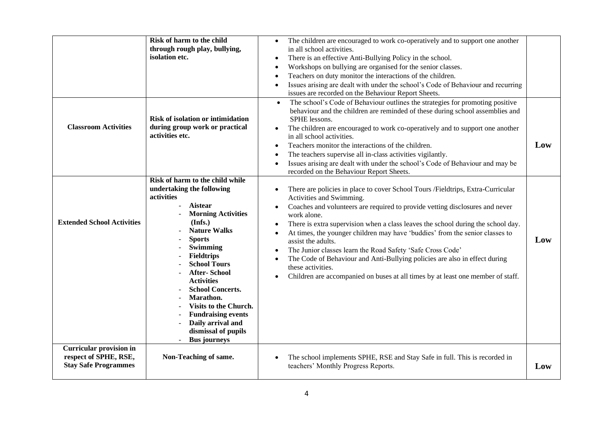| <b>Classroom Activities</b>                                                            | Risk of harm to the child<br>through rough play, bullying,<br>isolation etc.<br>Risk of isolation or intimidation<br>during group work or practical<br>activities etc.                                                                                                                                                                                                                                                                            | The children are encouraged to work co-operatively and to support one another<br>$\bullet$<br>in all school activities.<br>There is an effective Anti-Bullying Policy in the school.<br>$\bullet$<br>Workshops on bullying are organised for the senior classes.<br>$\bullet$<br>Teachers on duty monitor the interactions of the children.<br>Issues arising are dealt with under the school's Code of Behaviour and recurring<br>issues are recorded on the Behaviour Report Sheets.<br>The school's Code of Behaviour outlines the strategies for promoting positive<br>behaviour and the children are reminded of these during school assemblies and<br>SPHE lessons.<br>The children are encouraged to work co-operatively and to support one another<br>$\bullet$<br>in all school activities.<br>Teachers monitor the interactions of the children.<br>$\bullet$<br>The teachers supervise all in-class activities vigilantly.<br>Issues arising are dealt with under the school's Code of Behaviour and may be<br>recorded on the Behaviour Report Sheets. | Low |
|----------------------------------------------------------------------------------------|---------------------------------------------------------------------------------------------------------------------------------------------------------------------------------------------------------------------------------------------------------------------------------------------------------------------------------------------------------------------------------------------------------------------------------------------------|--------------------------------------------------------------------------------------------------------------------------------------------------------------------------------------------------------------------------------------------------------------------------------------------------------------------------------------------------------------------------------------------------------------------------------------------------------------------------------------------------------------------------------------------------------------------------------------------------------------------------------------------------------------------------------------------------------------------------------------------------------------------------------------------------------------------------------------------------------------------------------------------------------------------------------------------------------------------------------------------------------------------------------------------------------------------|-----|
| <b>Extended School Activities</b>                                                      | Risk of harm to the child while<br>undertaking the following<br>activities<br><b>Aistear</b><br><b>Morning Activities</b><br>(Infs.)<br><b>Nature Walks</b><br><b>Sports</b><br>Swimming<br><b>Fieldtrips</b><br><b>School Tours</b><br><b>After-School</b><br><b>Activities</b><br><b>School Concerts.</b><br>Marathon.<br>Visits to the Church.<br><b>Fundraising events</b><br>Daily arrival and<br>dismissal of pupils<br><b>Bus journeys</b> | There are policies in place to cover School Tours /Fieldtrips, Extra-Curricular<br>Activities and Swimming.<br>Coaches and volunteers are required to provide vetting disclosures and never<br>$\bullet$<br>work alone.<br>There is extra supervision when a class leaves the school during the school day.<br>$\bullet$<br>At times, the younger children may have 'buddies' from the senior classes to<br>assist the adults.<br>The Junior classes learn the Road Safety 'Safe Cross Code'<br>$\bullet$<br>The Code of Behaviour and Anti-Bullying policies are also in effect during<br>$\bullet$<br>these activities.<br>Children are accompanied on buses at all times by at least one member of staff.<br>$\bullet$                                                                                                                                                                                                                                                                                                                                          | Low |
| <b>Curricular provision in</b><br>respect of SPHE, RSE,<br><b>Stay Safe Programmes</b> | Non-Teaching of same.                                                                                                                                                                                                                                                                                                                                                                                                                             | The school implements SPHE, RSE and Stay Safe in full. This is recorded in<br>$\bullet$<br>teachers' Monthly Progress Reports.                                                                                                                                                                                                                                                                                                                                                                                                                                                                                                                                                                                                                                                                                                                                                                                                                                                                                                                                     | Low |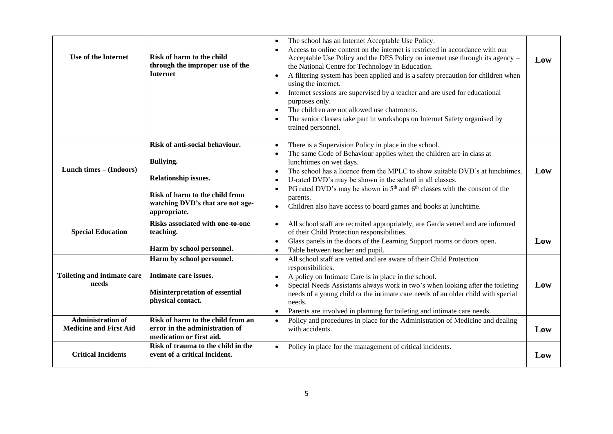| Use of the Internet                                       | Risk of harm to the child<br>through the improper use of the<br><b>Internet</b>                                                                                         | The school has an Internet Acceptable Use Policy.<br>$\bullet$<br>Access to online content on the internet is restricted in accordance with our<br>$\bullet$<br>Acceptable Use Policy and the DES Policy on internet use through its agency –<br>the National Centre for Technology in Education.<br>A filtering system has been applied and is a safety precaution for children when<br>$\bullet$<br>using the internet.<br>Internet sessions are supervised by a teacher and are used for educational<br>$\bullet$<br>purposes only.<br>The children are not allowed use chatrooms.<br>$\bullet$<br>The senior classes take part in workshops on Internet Safety organised by<br>trained personnel. | Low |
|-----------------------------------------------------------|-------------------------------------------------------------------------------------------------------------------------------------------------------------------------|-------------------------------------------------------------------------------------------------------------------------------------------------------------------------------------------------------------------------------------------------------------------------------------------------------------------------------------------------------------------------------------------------------------------------------------------------------------------------------------------------------------------------------------------------------------------------------------------------------------------------------------------------------------------------------------------------------|-----|
| Lunch times - (Indoors)                                   | Risk of anti-social behaviour.<br><b>Bullying.</b><br><b>Relationship issues.</b><br>Risk of harm to the child from<br>watching DVD's that are not age-<br>appropriate. | There is a Supervision Policy in place in the school.<br>$\bullet$<br>The same Code of Behaviour applies when the children are in class at<br>$\bullet$<br>lunchtimes on wet days.<br>The school has a licence from the MPLC to show suitable DVD's at lunchtimes.<br>$\bullet$<br>U-rated DVD's may be shown in the school in all classes.<br>PG rated DVD's may be shown in $5th$ and $6th$ classes with the consent of the<br>$\bullet$<br>parents.<br>Children also have access to board games and books at lunchtime.<br>$\bullet$                                                                                                                                                               | Low |
| <b>Special Education</b>                                  | <b>Risks associated with one-to-one</b><br>teaching.<br>Harm by school personnel.                                                                                       | All school staff are recruited appropriately, are Garda vetted and are informed<br>$\bullet$<br>of their Child Protection responsibilities.<br>Glass panels in the doors of the Learning Support rooms or doors open.<br>$\bullet$<br>Table between teacher and pupil.<br>$\bullet$                                                                                                                                                                                                                                                                                                                                                                                                                   | Low |
| Toileting and intimate care<br>needs                      | Harm by school personnel.<br>Intimate care issues.<br><b>Misinterpretation of essential</b><br>physical contact.                                                        | All school staff are vetted and are aware of their Child Protection<br>$\bullet$<br>responsibilities.<br>A policy on Intimate Care is in place in the school.<br>$\bullet$<br>Special Needs Assistants always work in two's when looking after the toileting<br>$\bullet$<br>needs of a young child or the intimate care needs of an older child with special<br>needs.<br>Parents are involved in planning for toileting and intimate care needs.<br>$\bullet$                                                                                                                                                                                                                                       | Low |
| <b>Administration of</b><br><b>Medicine and First Aid</b> | Risk of harm to the child from an<br>error in the administration of<br>medication or first aid.                                                                         | Policy and procedures in place for the Administration of Medicine and dealing<br>$\bullet$<br>with accidents.                                                                                                                                                                                                                                                                                                                                                                                                                                                                                                                                                                                         | Low |
| <b>Critical Incidents</b>                                 | Risk of trauma to the child in the<br>event of a critical incident.                                                                                                     | Policy in place for the management of critical incidents.<br>$\bullet$                                                                                                                                                                                                                                                                                                                                                                                                                                                                                                                                                                                                                                | Low |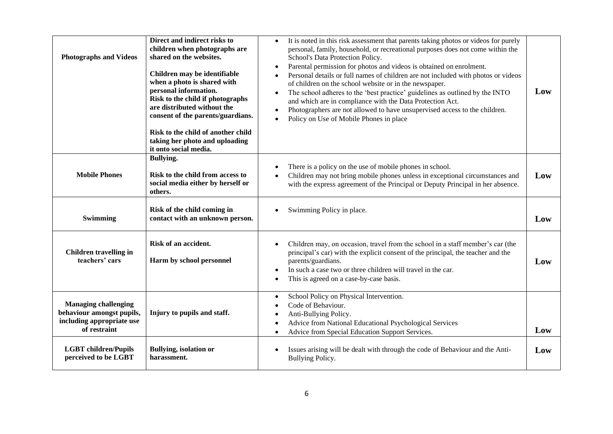| <b>Photographs and Videos</b>                                                                         | Direct and indirect risks to<br>children when photographs are<br>shared on the websites.<br>Children may be identifiable<br>when a photo is shared with<br>personal information.<br>Risk to the child if photographs<br>are distributed without the<br>consent of the parents/guardians.<br>Risk to the child of another child<br>taking her photo and uploading<br>it onto social media. | It is noted in this risk assessment that parents taking photos or videos for purely<br>$\bullet$<br>personal, family, household, or recreational purposes does not come within the<br>School's Data Protection Policy.<br>Parental permission for photos and videos is obtained on enrolment.<br>Personal details or full names of children are not included with photos or videos<br>of children on the school website or in the newspaper.<br>The school adheres to the 'best practice' guidelines as outlined by the INTO<br>and which are in compliance with the Data Protection Act.<br>Photographers are not allowed to have unsupervised access to the children.<br>Policy on Use of Mobile Phones in place | Low |
|-------------------------------------------------------------------------------------------------------|-------------------------------------------------------------------------------------------------------------------------------------------------------------------------------------------------------------------------------------------------------------------------------------------------------------------------------------------------------------------------------------------|--------------------------------------------------------------------------------------------------------------------------------------------------------------------------------------------------------------------------------------------------------------------------------------------------------------------------------------------------------------------------------------------------------------------------------------------------------------------------------------------------------------------------------------------------------------------------------------------------------------------------------------------------------------------------------------------------------------------|-----|
| <b>Mobile Phones</b>                                                                                  | <b>Bullying.</b><br>Risk to the child from access to<br>social media either by herself or<br>others.                                                                                                                                                                                                                                                                                      | There is a policy on the use of mobile phones in school.<br>Children may not bring mobile phones unless in exceptional circumstances and<br>with the express agreement of the Principal or Deputy Principal in her absence.                                                                                                                                                                                                                                                                                                                                                                                                                                                                                        | Low |
| Swimming                                                                                              | Risk of the child coming in<br>contact with an unknown person.                                                                                                                                                                                                                                                                                                                            | Swimming Policy in place.                                                                                                                                                                                                                                                                                                                                                                                                                                                                                                                                                                                                                                                                                          | Low |
| <b>Children travelling in</b><br>teachers' cars                                                       | Risk of an accident.<br>Harm by school personnel                                                                                                                                                                                                                                                                                                                                          | Children may, on occasion, travel from the school in a staff member's car (the<br>principal's car) with the explicit consent of the principal, the teacher and the<br>parents/guardians.<br>In such a case two or three children will travel in the car.<br>This is agreed on a case-by-case basis.                                                                                                                                                                                                                                                                                                                                                                                                                | Low |
| <b>Managing challenging</b><br>behaviour amongst pupils,<br>including appropriate use<br>of restraint | Injury to pupils and staff.                                                                                                                                                                                                                                                                                                                                                               | School Policy on Physical Intervention.<br>$\bullet$<br>Code of Behaviour.<br>Anti-Bullying Policy.<br>Advice from National Educational Psychological Services<br>Advice from Special Education Support Services.<br>$\bullet$                                                                                                                                                                                                                                                                                                                                                                                                                                                                                     | Low |
| <b>LGBT</b> children/Pupils<br>perceived to be LGBT                                                   | <b>Bullying, isolation or</b><br>harassment.                                                                                                                                                                                                                                                                                                                                              | Issues arising will be dealt with through the code of Behaviour and the Anti-<br>Bullying Policy.                                                                                                                                                                                                                                                                                                                                                                                                                                                                                                                                                                                                                  | Low |